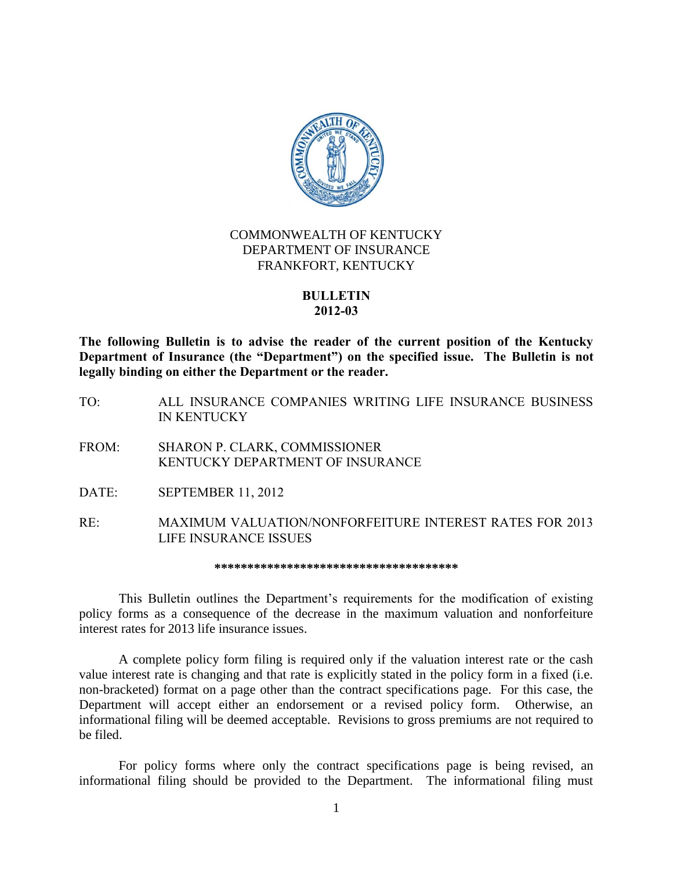

## COMMONWEALTH OF KENTUCKY DEPARTMENT OF INSURANCE FRANKFORT, KENTUCKY

## **BULLETIN 2012-03**

**The following Bulletin is to advise the reader of the current position of the Kentucky Department of Insurance (the "Department") on the specified issue. The Bulletin is not legally binding on either the Department or the reader.**

- TO: ALL INSURANCE COMPANIES WRITING LIFE INSURANCE BUSINESS IN KENTUCKY
- FROM: SHARON P. CLARK, COMMISSIONER KENTUCKY DEPARTMENT OF INSURANCE
- DATE: SEPTEMBER 11, 2012
- RE: MAXIMUM VALUATION/NONFORFEITURE INTEREST RATES FOR 2013 LIFE INSURANCE ISSUES

**\*\*\*\*\*\*\*\*\*\*\*\*\*\*\*\*\*\*\*\*\*\*\*\*\*\*\*\*\*\*\*\*\*\*\*\*\***

This Bulletin outlines the Department's requirements for the modification of existing policy forms as a consequence of the decrease in the maximum valuation and nonforfeiture interest rates for 2013 life insurance issues.

A complete policy form filing is required only if the valuation interest rate or the cash value interest rate is changing and that rate is explicitly stated in the policy form in a fixed (i.e. non-bracketed) format on a page other than the contract specifications page. For this case, the Department will accept either an endorsement or a revised policy form. Otherwise, an informational filing will be deemed acceptable. Revisions to gross premiums are not required to be filed.

For policy forms where only the contract specifications page is being revised, an informational filing should be provided to the Department. The informational filing must